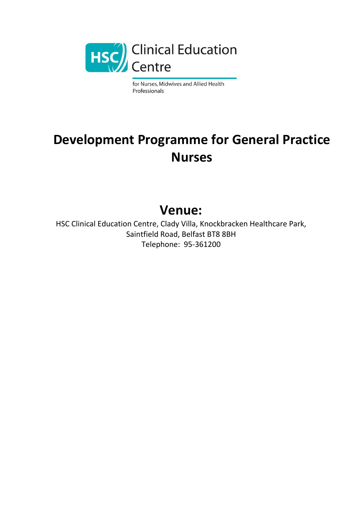

for Nurses, Midwives and Allied Health Professionals

## **Development Programme for General Practice Nurses**

## **Venue:**

HSC Clinical Education Centre, Clady Villa, Knockbracken Healthcare Park, Saintfield Road, Belfast BT8 8BH Telephone: 95-361200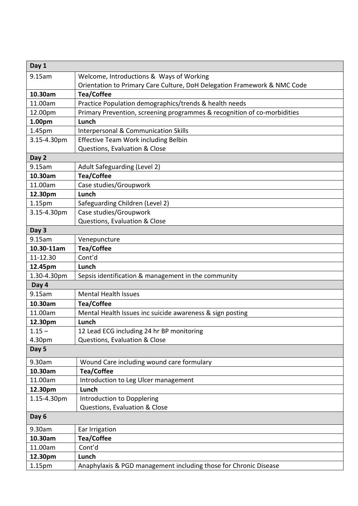| Day 1                  |                                                                          |
|------------------------|--------------------------------------------------------------------------|
| 9.15am                 | Welcome, Introductions & Ways of Working                                 |
|                        | Orientation to Primary Care Culture, DoH Delegation Framework & NMC Code |
| 10.30am                | <b>Tea/Coffee</b>                                                        |
| 11.00am                | Practice Population demographics/trends & health needs                   |
| 12.00pm                | Primary Prevention, screening programmes & recognition of co-morbidities |
| 1.00pm                 | Lunch                                                                    |
| 1.45pm                 | Interpersonal & Communication Skills                                     |
| 3.15-4.30pm            | <b>Effective Team Work including Belbin</b>                              |
|                        | Questions, Evaluation & Close                                            |
| Day 2                  |                                                                          |
| 9.15am                 | Adult Safeguarding (Level 2)                                             |
| 10.30am                | <b>Tea/Coffee</b>                                                        |
| 11.00am                | Case studies/Groupwork                                                   |
| 12.30pm                | Lunch                                                                    |
| 1.15 <sub>pm</sub>     | Safeguarding Children (Level 2)                                          |
| 3.15-4.30pm            | Case studies/Groupwork                                                   |
|                        | Questions, Evaluation & Close                                            |
| Day 3                  |                                                                          |
| 9.15am                 | Venepuncture                                                             |
| 10.30-11am<br>11-12.30 | <b>Tea/Coffee</b><br>Cont'd                                              |
| 12.45pm                | Lunch                                                                    |
| 1.30-4.30pm            | Sepsis identification & management in the community                      |
| Day 4                  |                                                                          |
| 9.15am                 | <b>Mental Health Issues</b>                                              |
| 10.30am                | <b>Tea/Coffee</b>                                                        |
| 11.00am                | Mental Health Issues inc suicide awareness & sign posting                |
| 12.30pm                | Lunch                                                                    |
| $1.15 -$               | 12 Lead ECG including 24 hr BP monitoring                                |
| 4.30pm                 | Questions, Evaluation & Close                                            |
| Day 5                  |                                                                          |
| 9.30am                 | Wound Care including wound care formulary                                |
| 10.30am                | <b>Tea/Coffee</b>                                                        |
| 11.00am                | Introduction to Leg Ulcer management                                     |
| 12.30pm                | Lunch                                                                    |
| 1.15-4.30pm            | Introduction to Dopplering                                               |
|                        | Questions, Evaluation & Close                                            |
| Day 6                  |                                                                          |
| 9.30am                 | Ear Irrigation                                                           |
| 10.30am                | <b>Tea/Coffee</b>                                                        |
| 11.00am                | Cont'd                                                                   |
| 12.30pm                | Lunch                                                                    |
| 1.15pm                 | Anaphylaxis & PGD management including those for Chronic Disease         |